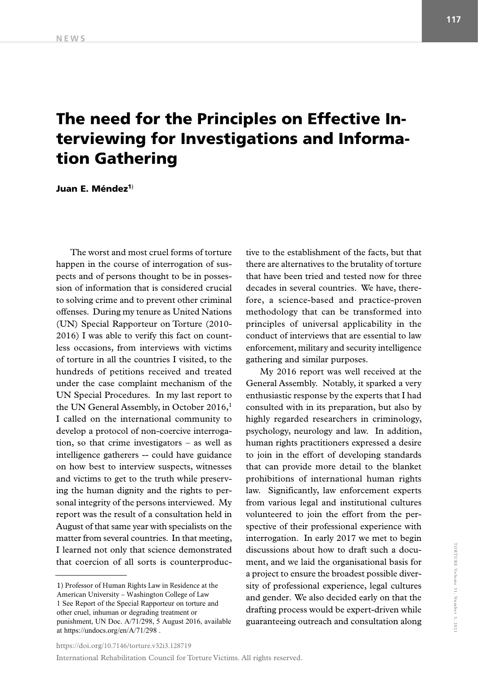## The need for the Principles on Effective Interviewing for Investigations and Information Gathering

Juan E. Méndez<sup>1)</sup>

The worst and most cruel forms of torture happen in the course of interrogation of suspects and of persons thought to be in possession of information that is considered crucial to solving crime and to prevent other criminal offenses. During my tenure as United Nations (UN) Special Rapporteur on Torture (2010- 2016) I was able to verify this fact on countless occasions, from interviews with victims of torture in all the countries I visited, to the hundreds of petitions received and treated under the case complaint mechanism of the UN Special Procedures. In my last report to the UN General Assembly, in October 2016,<sup>1</sup> I called on the international community to develop a protocol of non-coercive interrogation, so that crime investigators – as well as intelligence gatherers -- could have guidance on how best to interview suspects, witnesses and victims to get to the truth while preserving the human dignity and the rights to personal integrity of the persons interviewed. My report was the result of a consultation held in August of that same year with specialists on the matter from several countries. In that meeting, I learned not only that science demonstrated that coercion of all sorts is counterproduc-

1) Professor of Human Rights Law in Residence at the American University – Washington College of Law 1 See Report of the Special Rapporteur on torture and other cruel, inhuman or degrading treatment or punishment, UN Doc. A/71/298, 5 August 2016, available at https://undocs.org/en/A/71/298 .

tive to the establishment of the facts, but that there are alternatives to the brutality of torture that have been tried and tested now for three decades in several countries. We have, therefore, a science-based and practice-proven methodology that can be transformed into principles of universal applicability in the conduct of interviews that are essential to law enforcement, military and security intelligence gathering and similar purposes.

My 2016 report was well received at the General Assembly. Notably, it sparked a very enthusiastic response by the experts that I had consulted with in its preparation, but also by highly regarded researchers in criminology, psychology, neurology and law. In addition, human rights practitioners expressed a desire to join in the effort of developing standards that can provide more detail to the blanket prohibitions of international human rights law. Significantly, law enforcement experts from various legal and institutional cultures volunteered to join the effort from the perspective of their professional experience with interrogation. In early 2017 we met to begin discussions about how to draft such a document, and we laid the organisational basis for a project to ensure the broadest possible diversity of professional experience, legal cultures and gender. We also decided early on that the drafting process would be expert-driven while guaranteeing outreach and consultation along

```
https://doi.org/10.7146/torture.v32i3.128719
```
International Rehabilitation Council for Torture Victims. All rights reserved.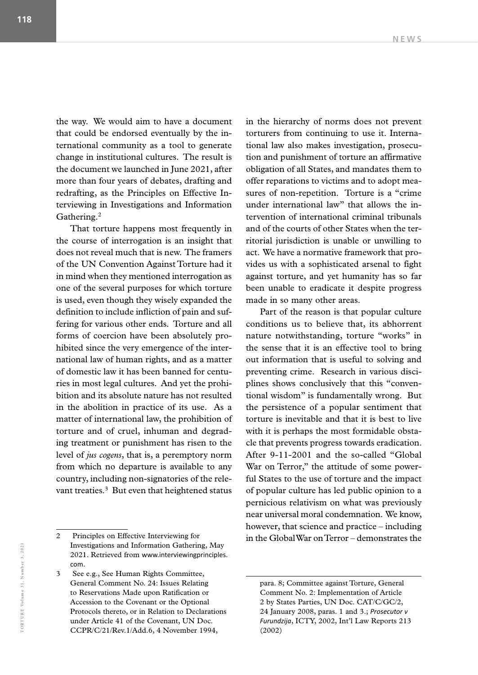the way. We would aim to have a document that could be endorsed eventually by the international community as a tool to generate change in institutional cultures. The result is the document we launched in June 2021, after more than four years of debates, drafting and redrafting, as the Principles on Effective Interviewing in Investigations and Information Gathering.2

That torture happens most frequently in the course of interrogation is an insight that does not reveal much that is new. The framers of the UN Convention Against Torture had it in mind when they mentioned interrogation as one of the several purposes for which torture is used, even though they wisely expanded the definition to include infliction of pain and suffering for various other ends. Torture and all forms of coercion have been absolutely prohibited since the very emergence of the international law of human rights, and as a matter of domestic law it has been banned for centuries in most legal cultures. And yet the prohibition and its absolute nature has not resulted in the abolition in practice of its use. As a matter of international law, the prohibition of torture and of cruel, inhuman and degrading treatment or punishment has risen to the level of *jus cogens*, that is, a peremptory norm from which no departure is available to any country, including non-signatories of the relevant treaties.<sup>3</sup> But even that heightened status

in the hierarchy of norms does not prevent torturers from continuing to use it. International law also makes investigation, prosecution and punishment of torture an affirmative obligation of all States, and mandates them to offer reparations to victims and to adopt measures of non-repetition. Torture is a "crime under international law" that allows the intervention of international criminal tribunals and of the courts of other States when the territorial jurisdiction is unable or unwilling to act. We have a normative framework that provides us with a sophisticated arsenal to fight against torture, and yet humanity has so far been unable to eradicate it despite progress made in so many other areas.

Part of the reason is that popular culture conditions us to believe that, its abhorrent nature notwithstanding, torture "works" in the sense that it is an effective tool to bring out information that is useful to solving and preventing crime. Research in various disciplines shows conclusively that this "conventional wisdom" is fundamentally wrong. But the persistence of a popular sentiment that torture is inevitable and that it is best to live with it is perhaps the most formidable obstacle that prevents progress towards eradication. After 9-11-2001 and the so-called "Global War on Terror," the attitude of some powerful States to the use of torture and the impact of popular culture has led public opinion to a pernicious relativism on what was previously near universal moral condemnation. We know, however, that science and practice – including in the Global War on Terror – demonstrates the

<sup>2</sup> Principles on Effective Interviewing for Investigations and Information Gathering, May 2021. Retrieved from www.interviewingprinciples. com.

See e.g., See Human Rights Committee, General Comment No. 24: Issues Relating to Reservations Made upon Ratification or Accession to the Covenant or the Optional Protocols thereto, or in Relation to Declarations under Article 41 of the Covenant, UN Doc. CCPR/C/21/Rev.1/Add.6, 4 November 1994,

para. 8; Committee against Torture, General Comment No. 2: Implementation of Article 2 by States Parties, UN Doc. CAT/C/GC/2, 24 January 2008, paras. 1 and 3.; *Prosecutor v Furundzija*, ICTY, 2002, Int'l Law Reports 213 (2002)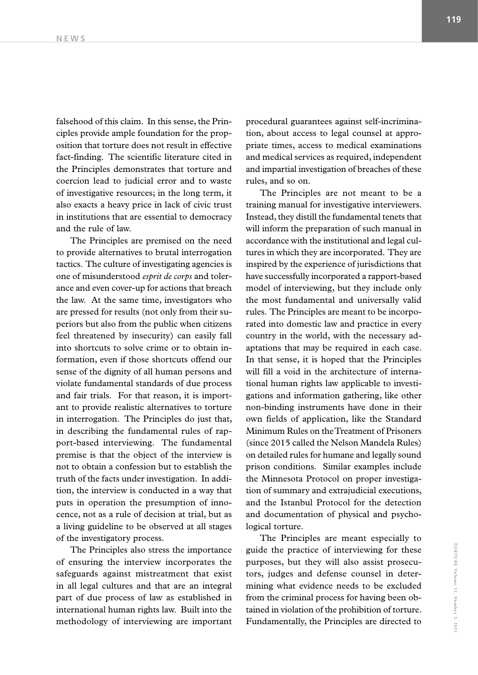falsehood of this claim. In this sense, the Principles provide ample foundation for the proposition that torture does not result in effective fact-finding. The scientific literature cited in the Principles demonstrates that torture and coercion lead to judicial error and to waste of investigative resources; in the long term, it also exacts a heavy price in lack of civic trust in institutions that are essential to democracy and the rule of law.

The Principles are premised on the need to provide alternatives to brutal interrogation tactics. The culture of investigating agencies is one of misunderstood *esprit de corps* and tolerance and even cover-up for actions that breach the law. At the same time, investigators who are pressed for results (not only from their superiors but also from the public when citizens feel threatened by insecurity) can easily fall into shortcuts to solve crime or to obtain information, even if those shortcuts offend our sense of the dignity of all human persons and violate fundamental standards of due process and fair trials. For that reason, it is important to provide realistic alternatives to torture in interrogation. The Principles do just that, in describing the fundamental rules of rapport-based interviewing. The fundamental premise is that the object of the interview is not to obtain a confession but to establish the truth of the facts under investigation. In addition, the interview is conducted in a way that puts in operation the presumption of innocence, not as a rule of decision at trial, but as a living guideline to be observed at all stages of the investigatory process.

The Principles also stress the importance of ensuring the interview incorporates the safeguards against mistreatment that exist in all legal cultures and that are an integral part of due process of law as established in international human rights law. Built into the methodology of interviewing are important procedural guarantees against self-incrimination, about access to legal counsel at appropriate times, access to medical examinations and medical services as required, independent and impartial investigation of breaches of these rules, and so on.

The Principles are not meant to be a training manual for investigative interviewers. Instead, they distill the fundamental tenets that will inform the preparation of such manual in accordance with the institutional and legal cultures in which they are incorporated. They are inspired by the experience of jurisdictions that have successfully incorporated a rapport-based model of interviewing, but they include only the most fundamental and universally valid rules. The Principles are meant to be incorporated into domestic law and practice in every country in the world, with the necessary adaptations that may be required in each case. In that sense, it is hoped that the Principles will fill a void in the architecture of international human rights law applicable to investigations and information gathering, like other non-binding instruments have done in their own fields of application, like the Standard Minimum Rules on the Treatment of Prisoners (since 2015 called the Nelson Mandela Rules) on detailed rules for humane and legally sound prison conditions. Similar examples include the Minnesota Protocol on proper investigation of summary and extrajudicial executions, and the Istanbul Protocol for the detection and documentation of physical and psychological torture.

The Principles are meant especially to guide the practice of interviewing for these purposes, but they will also assist prosecutors, judges and defense counsel in determining what evidence needs to be excluded from the criminal process for having been obtained in violation of the prohibition of torture. Fundamentally, the Principles are directed to